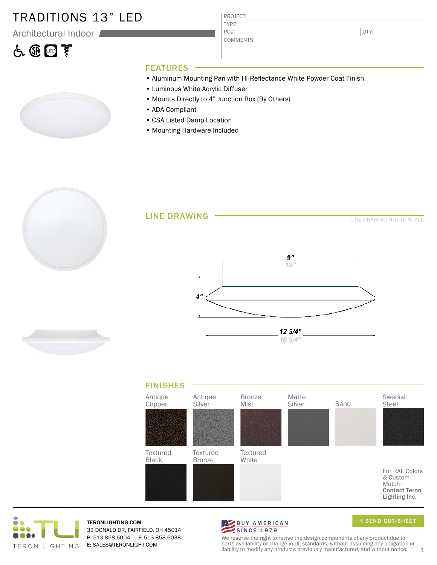### TRADITIONS 13" LED

Architectural Indoor

# 占田国亨

COMMENTS:

QTY:

- FEATURES
- Aluminum Mounting Pan with Hi-Reflectance White Powder Coat Finish
- Luminous White Acrylic Diffuser
- Mounts Directly to 4" Junction Box (By Others)

PROJECT: TYPE:

PO#:

- ADA Compliant
- CSA Listed Damp Location
- Mounting Hardware Included





TERONLIGHTING.COM 33 DONALD DR, FAIRFIELD, OH 45014 P: 513.858.6004 F: 513.858.6038 E: SALES@TERONLIGHT.COM



SEND CUT-SHEET

We reserve the right to revise the design components of any product due to parts availability or change in UL standards, without assuming any obligation or liability to modify any products previously manufactured, and without notice.  $1$